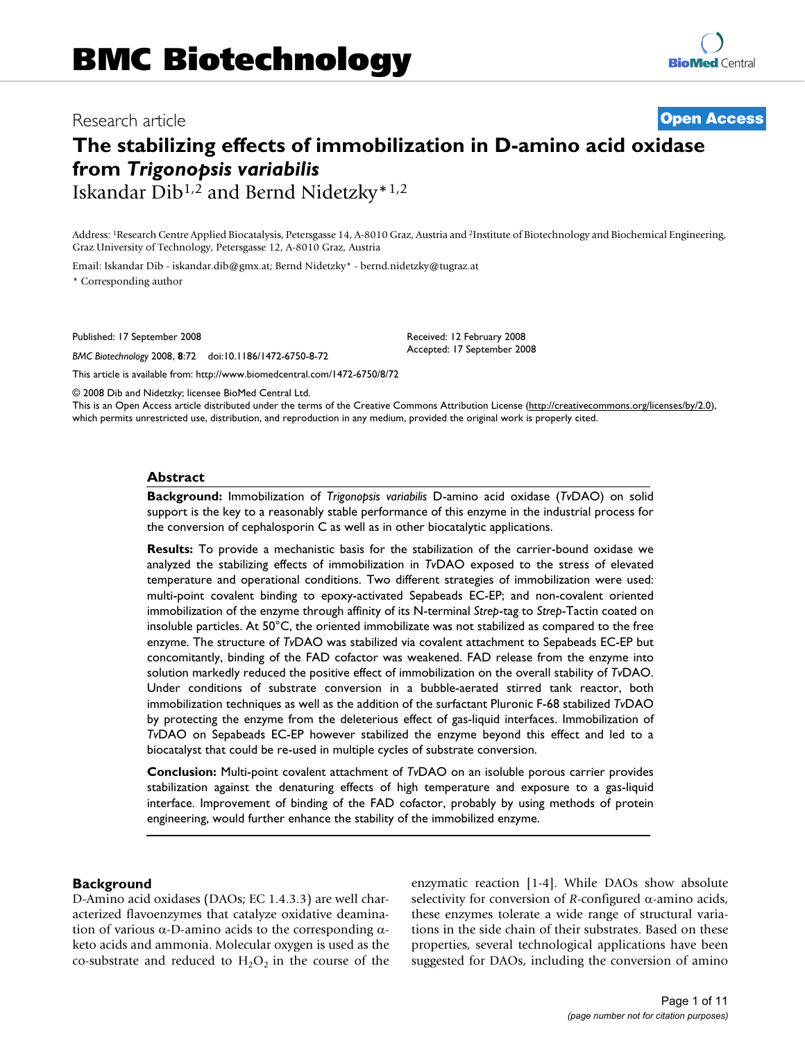## Research article **[Open Access](http://www.biomedcentral.com/info/about/charter/)**

# **The stabilizing effects of immobilization in D-amino acid oxidase from** *Trigonopsis variabilis* Iskandar Dib1,2 and Bernd Nidetzky\*1,2

Address: 1Research Centre Applied Biocatalysis, Petersgasse 14, A-8010 Graz, Austria and 2Institute of Biotechnology and Biochemical Engineering, Graz University of Technology, Petersgasse 12, A-8010 Graz, Austria

Email: Iskandar Dib - iskandar.dib@gmx.at; Bernd Nidetzky\* - bernd.nidetzky@tugraz.at

\* Corresponding author

Published: 17 September 2008

*BMC Biotechnology* 2008, **8**:72 doi:10.1186/1472-6750-8-72

[This article is available from: http://www.biomedcentral.com/1472-6750/8/72](http://www.biomedcentral.com/1472-6750/8/72)

© 2008 Dib and Nidetzky; licensee BioMed Central Ltd.

This is an Open Access article distributed under the terms of the Creative Commons Attribution License [\(http://creativecommons.org/licenses/by/2.0\)](http://creativecommons.org/licenses/by/2.0), which permits unrestricted use, distribution, and reproduction in any medium, provided the original work is properly cited.

Received: 12 February 2008 Accepted: 17 September 2008

#### **Abstract**

**Background:** Immobilization of *Trigonopsis variabilis* D-amino acid oxidase (*Tv*DAO) on solid support is the key to a reasonably stable performance of this enzyme in the industrial process for the conversion of cephalosporin C as well as in other biocatalytic applications.

**Results:** To provide a mechanistic basis for the stabilization of the carrier-bound oxidase we analyzed the stabilizing effects of immobilization in *Tv*DAO exposed to the stress of elevated temperature and operational conditions. Two different strategies of immobilization were used: multi-point covalent binding to epoxy-activated Sepabeads EC-EP; and non-covalent oriented immobilization of the enzyme through affinity of its N-terminal *Strep*-tag to *Strep*-Tactin coated on insoluble particles. At 50°C, the oriented immobilizate was not stabilized as compared to the free enzyme. The structure of *Tv*DAO was stabilized via covalent attachment to Sepabeads EC-EP but concomitantly, binding of the FAD cofactor was weakened. FAD release from the enzyme into solution markedly reduced the positive effect of immobilization on the overall stability of *Tv*DAO. Under conditions of substrate conversion in a bubble-aerated stirred tank reactor, both immobilization techniques as well as the addition of the surfactant Pluronic F-68 stabilized *Tv*DAO by protecting the enzyme from the deleterious effect of gas-liquid interfaces. Immobilization of *Tv*DAO on Sepabeads EC-EP however stabilized the enzyme beyond this effect and led to a biocatalyst that could be re-used in multiple cycles of substrate conversion.

**Conclusion:** Multi-point covalent attachment of *Tv*DAO on an isoluble porous carrier provides stabilization against the denaturing effects of high temperature and exposure to a gas-liquid interface. Improvement of binding of the FAD cofactor, probably by using methods of protein engineering, would further enhance the stability of the immobilized enzyme.

## **Background**

D-Amino acid oxidases (DAOs; EC 1.4.3.3) are well characterized flavoenzymes that catalyze oxidative deamination of various α-D-amino acids to the corresponding αketo acids and ammonia. Molecular oxygen is used as the co-substrate and reduced to  $H_2O_2$  in the course of the enzymatic reaction [1-4]. While DAOs show absolute selectivity for conversion of *R*-configured α-amino acids, these enzymes tolerate a wide range of structural variations in the side chain of their substrates. Based on these properties, several technological applications have been suggested for DAOs, including the conversion of amino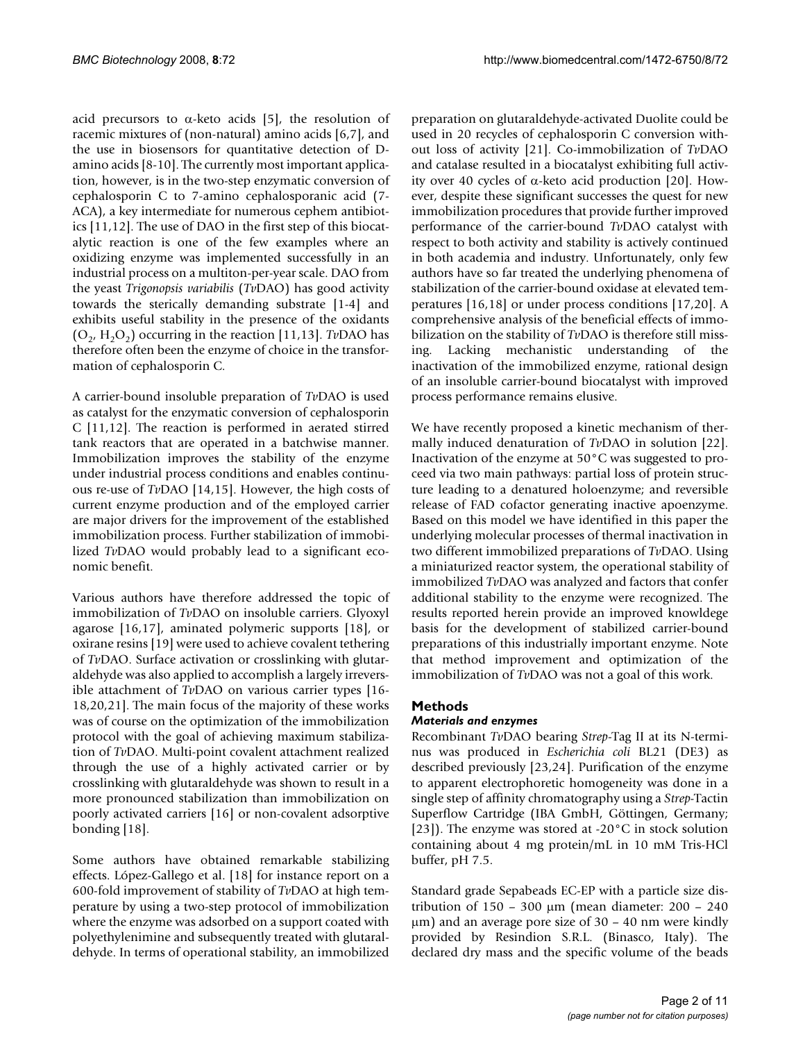acid precursors to  $\alpha$ -keto acids [5], the resolution of racemic mixtures of (non-natural) amino acids [6,7], and the use in biosensors for quantitative detection of Damino acids [8-10]. The currently most important application, however, is in the two-step enzymatic conversion of cephalosporin C to 7-amino cephalosporanic acid (7- ACA), a key intermediate for numerous cephem antibiotics [11,12]. The use of DAO in the first step of this biocatalytic reaction is one of the few examples where an oxidizing enzyme was implemented successfully in an industrial process on a multiton-per-year scale. DAO from the yeast *Trigonopsis variabilis* (*Tv*DAO) has good activity towards the sterically demanding substrate [1-4] and exhibits useful stability in the presence of the oxidants  $(O_2, H_2O_2)$  occurring in the reaction [11,13]. *TvDAO* has therefore often been the enzyme of choice in the transformation of cephalosporin C.

A carrier-bound insoluble preparation of *Tv*DAO is used as catalyst for the enzymatic conversion of cephalosporin C [11,12]. The reaction is performed in aerated stirred tank reactors that are operated in a batchwise manner. Immobilization improves the stability of the enzyme under industrial process conditions and enables continuous re-use of *Tv*DAO [14,15]. However, the high costs of current enzyme production and of the employed carrier are major drivers for the improvement of the established immobilization process. Further stabilization of immobilized *Tv*DAO would probably lead to a significant economic benefit.

Various authors have therefore addressed the topic of immobilization of *Tv*DAO on insoluble carriers. Glyoxyl agarose [16,17], aminated polymeric supports [18], or oxirane resins [19] were used to achieve covalent tethering of *Tv*DAO. Surface activation or crosslinking with glutaraldehyde was also applied to accomplish a largely irreversible attachment of *Tv*DAO on various carrier types [16- 18,20,21]. The main focus of the majority of these works was of course on the optimization of the immobilization protocol with the goal of achieving maximum stabilization of *Tv*DAO. Multi-point covalent attachment realized through the use of a highly activated carrier or by crosslinking with glutaraldehyde was shown to result in a more pronounced stabilization than immobilization on poorly activated carriers [16] or non-covalent adsorptive bonding [18].

Some authors have obtained remarkable stabilizing effects. López-Gallego et al. [18] for instance report on a 600-fold improvement of stability of *Tv*DAO at high temperature by using a two-step protocol of immobilization where the enzyme was adsorbed on a support coated with polyethylenimine and subsequently treated with glutaraldehyde. In terms of operational stability, an immobilized

preparation on glutaraldehyde-activated Duolite could be used in 20 recycles of cephalosporin C conversion without loss of activity [21]. Co-immobilization of *Tv*DAO and catalase resulted in a biocatalyst exhibiting full activity over 40 cycles of α-keto acid production [20]. However, despite these significant successes the quest for new immobilization procedures that provide further improved performance of the carrier-bound *Tv*DAO catalyst with respect to both activity and stability is actively continued in both academia and industry. Unfortunately, only few authors have so far treated the underlying phenomena of stabilization of the carrier-bound oxidase at elevated temperatures [16,18] or under process conditions [17,20]. A comprehensive analysis of the beneficial effects of immobilization on the stability of *Tv*DAO is therefore still missing. Lacking mechanistic understanding of the inactivation of the immobilized enzyme, rational design of an insoluble carrier-bound biocatalyst with improved process performance remains elusive.

We have recently proposed a kinetic mechanism of thermally induced denaturation of *Tv*DAO in solution [22]. Inactivation of the enzyme at 50°C was suggested to proceed via two main pathways: partial loss of protein structure leading to a denatured holoenzyme; and reversible release of FAD cofactor generating inactive apoenzyme. Based on this model we have identified in this paper the underlying molecular processes of thermal inactivation in two different immobilized preparations of *Tv*DAO. Using a miniaturized reactor system, the operational stability of immobilized *Tv*DAO was analyzed and factors that confer additional stability to the enzyme were recognized. The results reported herein provide an improved knowldege basis for the development of stabilized carrier-bound preparations of this industrially important enzyme. Note that method improvement and optimization of the immobilization of *Tv*DAO was not a goal of this work.

## **Methods**

## *Materials and enzymes*

Recombinant *Tv*DAO bearing *Strep*-Tag II at its N-terminus was produced in *Escherichia coli* BL21 (DE3) as described previously [23,24]. Purification of the enzyme to apparent electrophoretic homogeneity was done in a single step of affinity chromatography using a *Strep*-Tactin Superflow Cartridge (IBA GmbH, Göttingen, Germany; [23]). The enzyme was stored at -20 $\degree$ C in stock solution containing about 4 mg protein/mL in 10 mM Tris-HCl buffer, pH 7.5.

Standard grade Sepabeads EC-EP with a particle size distribution of 150 – 300 μm (mean diameter: 200 – 240 μm) and an average pore size of 30 – 40 nm were kindly provided by Resindion S.R.L. (Binasco, Italy). The declared dry mass and the specific volume of the beads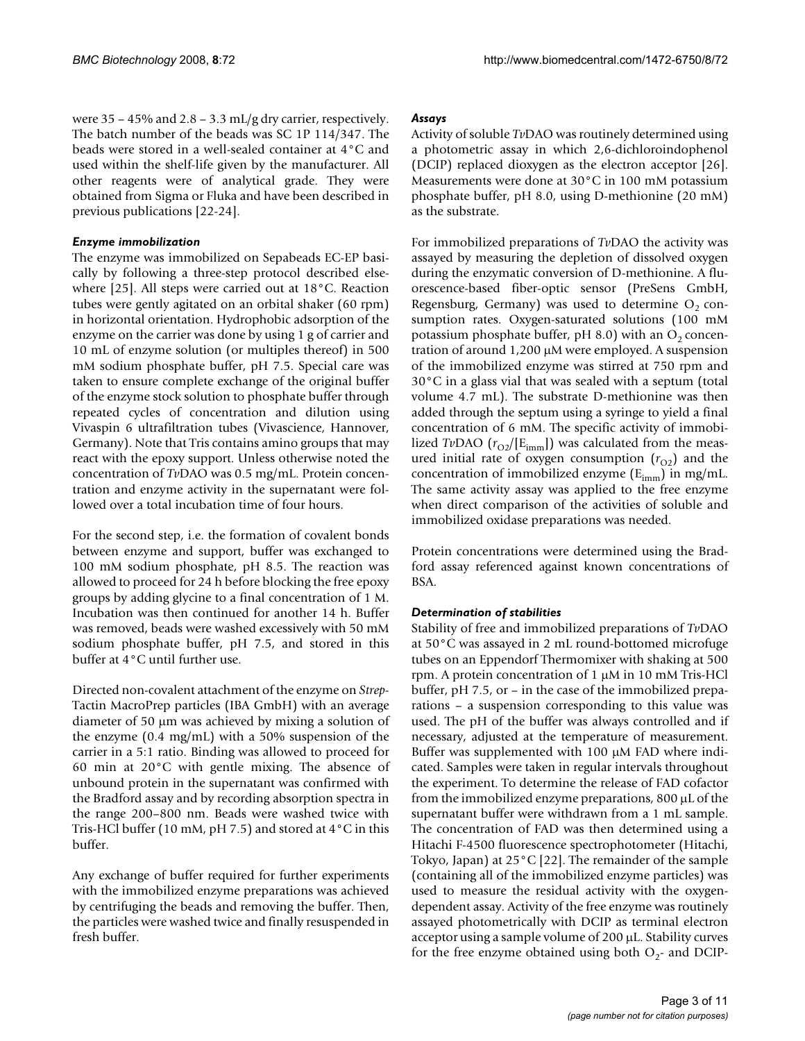were  $35 - 45\%$  and  $2.8 - 3.3$  mL/g dry carrier, respectively. The batch number of the beads was SC 1P 114/347. The beads were stored in a well-sealed container at 4°C and used within the shelf-life given by the manufacturer. All other reagents were of analytical grade. They were obtained from Sigma or Fluka and have been described in previous publications [22-24].

## *Enzyme immobilization*

The enzyme was immobilized on Sepabeads EC-EP basically by following a three-step protocol described elsewhere [25]. All steps were carried out at 18°C. Reaction tubes were gently agitated on an orbital shaker (60 rpm) in horizontal orientation. Hydrophobic adsorption of the enzyme on the carrier was done by using 1 g of carrier and 10 mL of enzyme solution (or multiples thereof) in 500 mM sodium phosphate buffer, pH 7.5. Special care was taken to ensure complete exchange of the original buffer of the enzyme stock solution to phosphate buffer through repeated cycles of concentration and dilution using Vivaspin 6 ultrafiltration tubes (Vivascience, Hannover, Germany). Note that Tris contains amino groups that may react with the epoxy support. Unless otherwise noted the concentration of *Tv*DAO was 0.5 mg/mL. Protein concentration and enzyme activity in the supernatant were followed over a total incubation time of four hours.

For the second step, i.e. the formation of covalent bonds between enzyme and support, buffer was exchanged to 100 mM sodium phosphate, pH 8.5. The reaction was allowed to proceed for 24 h before blocking the free epoxy groups by adding glycine to a final concentration of 1 M. Incubation was then continued for another 14 h. Buffer was removed, beads were washed excessively with 50 mM sodium phosphate buffer, pH 7.5, and stored in this buffer at 4°C until further use.

Directed non-covalent attachment of the enzyme on *Strep*-Tactin MacroPrep particles (IBA GmbH) with an average diameter of 50 μm was achieved by mixing a solution of the enzyme (0.4 mg/mL) with a 50% suspension of the carrier in a 5:1 ratio. Binding was allowed to proceed for 60 min at 20°C with gentle mixing. The absence of unbound protein in the supernatant was confirmed with the Bradford assay and by recording absorption spectra in the range 200–800 nm. Beads were washed twice with Tris-HCl buffer (10 mM, pH 7.5) and stored at 4°C in this buffer.

Any exchange of buffer required for further experiments with the immobilized enzyme preparations was achieved by centrifuging the beads and removing the buffer. Then, the particles were washed twice and finally resuspended in fresh buffer.

## *Assays*

Activity of soluble *Tv*DAO was routinely determined using a photometric assay in which 2,6-dichloroindophenol (DCIP) replaced dioxygen as the electron acceptor [26]. Measurements were done at 30°C in 100 mM potassium phosphate buffer, pH 8.0, using D-methionine (20 mM) as the substrate.

For immobilized preparations of *Tv*DAO the activity was assayed by measuring the depletion of dissolved oxygen during the enzymatic conversion of D-methionine. A fluorescence-based fiber-optic sensor (PreSens GmbH, Regensburg, Germany) was used to determine  $O_2$  consumption rates. Oxygen-saturated solutions (100 mM potassium phosphate buffer, pH 8.0) with an  $O<sub>2</sub>$  concentration of around 1,200 μM were employed. A suspension of the immobilized enzyme was stirred at 750 rpm and 30°C in a glass vial that was sealed with a septum (total volume 4.7 mL). The substrate D-methionine was then added through the septum using a syringe to yield a final concentration of 6 mM. The specific activity of immobilized *TvDAO* ( $r_{O2}/[E_{imm}]$ ) was calculated from the measured initial rate of oxygen consumption  $(r<sub>O2</sub>)$  and the concentration of immobilized enzyme  $(E_{imm})$  in mg/mL. The same activity assay was applied to the free enzyme when direct comparison of the activities of soluble and immobilized oxidase preparations was needed.

Protein concentrations were determined using the Bradford assay referenced against known concentrations of BSA.

## *Determination of stabilities*

Stability of free and immobilized preparations of *Tv*DAO at 50°C was assayed in 2 mL round-bottomed microfuge tubes on an Eppendorf Thermomixer with shaking at 500 rpm. A protein concentration of 1 μM in 10 mM Tris-HCl buffer, pH 7.5, or – in the case of the immobilized preparations – a suspension corresponding to this value was used. The pH of the buffer was always controlled and if necessary, adjusted at the temperature of measurement. Buffer was supplemented with 100 μM FAD where indicated. Samples were taken in regular intervals throughout the experiment. To determine the release of FAD cofactor from the immobilized enzyme preparations, 800 μL of the supernatant buffer were withdrawn from a 1 mL sample. The concentration of FAD was then determined using a Hitachi F-4500 fluorescence spectrophotometer (Hitachi, Tokyo, Japan) at 25°C [22]. The remainder of the sample (containing all of the immobilized enzyme particles) was used to measure the residual activity with the oxygendependent assay. Activity of the free enzyme was routinely assayed photometrically with DCIP as terminal electron acceptor using a sample volume of 200 μL. Stability curves for the free enzyme obtained using both  $O_2$ - and DCIP-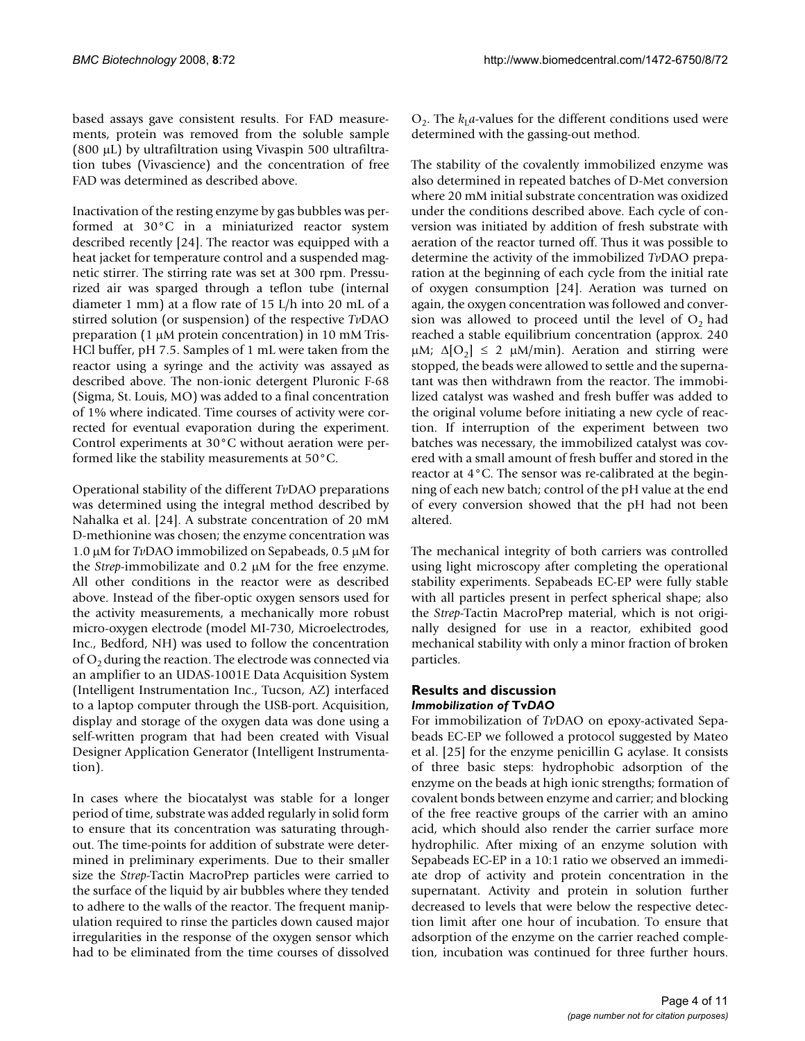based assays gave consistent results. For FAD measurements, protein was removed from the soluble sample (800 μL) by ultrafiltration using Vivaspin 500 ultrafiltration tubes (Vivascience) and the concentration of free FAD was determined as described above.

Inactivation of the resting enzyme by gas bubbles was performed at 30°C in a miniaturized reactor system described recently [24]. The reactor was equipped with a heat jacket for temperature control and a suspended magnetic stirrer. The stirring rate was set at 300 rpm. Pressurized air was sparged through a teflon tube (internal diameter 1 mm) at a flow rate of 15 L/h into 20 mL of a stirred solution (or suspension) of the respective *Tv*DAO preparation (1 μM protein concentration) in 10 mM Tris-HCl buffer, pH 7.5. Samples of 1 mL were taken from the reactor using a syringe and the activity was assayed as described above. The non-ionic detergent Pluronic F-68 (Sigma, St. Louis, MO) was added to a final concentration of 1% where indicated. Time courses of activity were corrected for eventual evaporation during the experiment. Control experiments at 30°C without aeration were performed like the stability measurements at 50°C.

Operational stability of the different *Tv*DAO preparations was determined using the integral method described by Nahalka et al. [24]. A substrate concentration of 20 mM D-methionine was chosen; the enzyme concentration was 1.0 μM for *Tv*DAO immobilized on Sepabeads, 0.5 μM for the *Strep*-immobilizate and 0.2 μM for the free enzyme. All other conditions in the reactor were as described above. Instead of the fiber-optic oxygen sensors used for the activity measurements, a mechanically more robust micro-oxygen electrode (model MI-730, Microelectrodes, Inc., Bedford, NH) was used to follow the concentration of  $O<sub>2</sub>$  during the reaction. The electrode was connected via an amplifier to an UDAS-1001E Data Acquisition System (Intelligent Instrumentation Inc., Tucson, AZ) interfaced to a laptop computer through the USB-port. Acquisition, display and storage of the oxygen data was done using a self-written program that had been created with Visual Designer Application Generator (Intelligent Instrumentation).

In cases where the biocatalyst was stable for a longer period of time, substrate was added regularly in solid form to ensure that its concentration was saturating throughout. The time-points for addition of substrate were determined in preliminary experiments. Due to their smaller size the *Strep*-Tactin MacroPrep particles were carried to the surface of the liquid by air bubbles where they tended to adhere to the walls of the reactor. The frequent manipulation required to rinse the particles down caused major irregularities in the response of the oxygen sensor which had to be eliminated from the time courses of dissolved

 $O_2$ . The  $k_1a$ -values for the different conditions used were determined with the gassing-out method.

The stability of the covalently immobilized enzyme was also determined in repeated batches of D-Met conversion where 20 mM initial substrate concentration was oxidized under the conditions described above. Each cycle of conversion was initiated by addition of fresh substrate with aeration of the reactor turned off. Thus it was possible to determine the activity of the immobilized *Tv*DAO preparation at the beginning of each cycle from the initial rate of oxygen consumption [24]. Aeration was turned on again, the oxygen concentration was followed and conversion was allowed to proceed until the level of  $O<sub>2</sub>$  had reached a stable equilibrium concentration (approx. 240 μM;  $Δ[O<sub>2</sub>] ≤ 2 μM/min$ ). Aeration and stirring were stopped, the beads were allowed to settle and the supernatant was then withdrawn from the reactor. The immobilized catalyst was washed and fresh buffer was added to the original volume before initiating a new cycle of reaction. If interruption of the experiment between two batches was necessary, the immobilized catalyst was covered with a small amount of fresh buffer and stored in the reactor at 4°C. The sensor was re-calibrated at the beginning of each new batch; control of the pH value at the end of every conversion showed that the pH had not been altered.

The mechanical integrity of both carriers was controlled using light microscopy after completing the operational stability experiments. Sepabeads EC-EP were fully stable with all particles present in perfect spherical shape; also the *Strep*-Tactin MacroPrep material, which is not originally designed for use in a reactor, exhibited good mechanical stability with only a minor fraction of broken particles.

## **Results and discussion** *Immobilization of* **Tv***DAO*

For immobilization of *Tv*DAO on epoxy-activated Sepabeads EC-EP we followed a protocol suggested by Mateo et al. [25] for the enzyme penicillin G acylase. It consists of three basic steps: hydrophobic adsorption of the enzyme on the beads at high ionic strengths; formation of covalent bonds between enzyme and carrier; and blocking of the free reactive groups of the carrier with an amino acid, which should also render the carrier surface more hydrophilic. After mixing of an enzyme solution with Sepabeads EC-EP in a 10:1 ratio we observed an immediate drop of activity and protein concentration in the supernatant. Activity and protein in solution further decreased to levels that were below the respective detection limit after one hour of incubation. To ensure that adsorption of the enzyme on the carrier reached completion, incubation was continued for three further hours.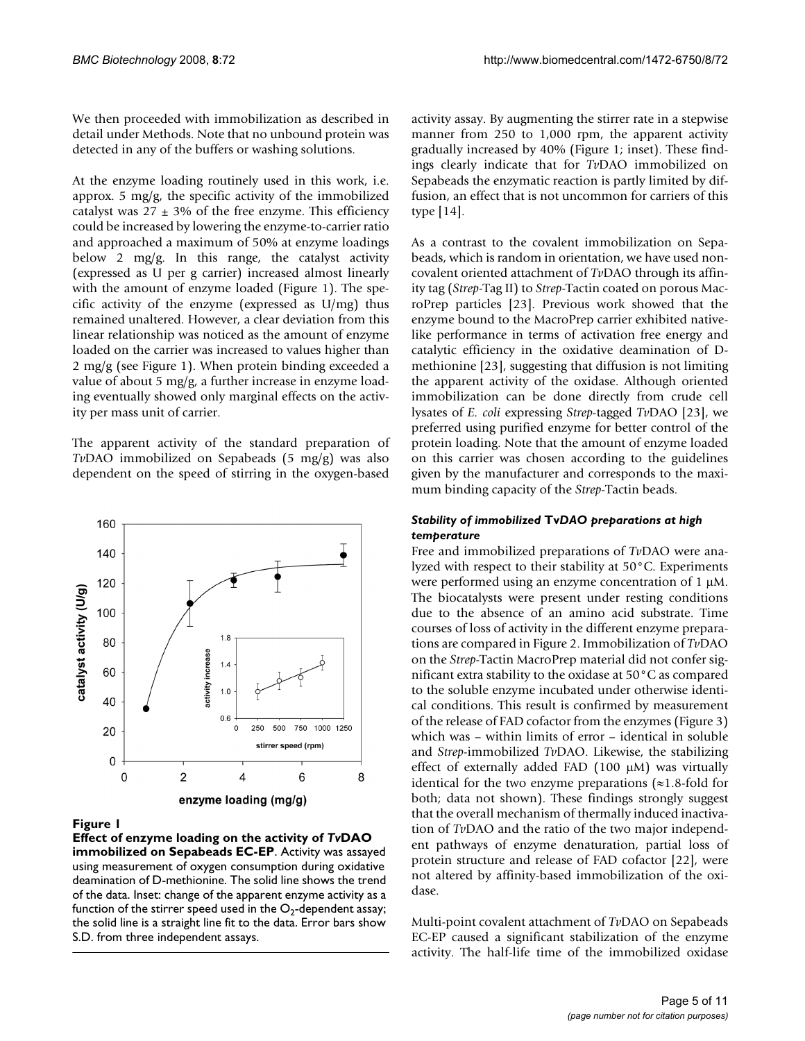We then proceeded with immobilization as described in detail under Methods. Note that no unbound protein was detected in any of the buffers or washing solutions.

At the enzyme loading routinely used in this work, i.e. approx. 5 mg/g, the specific activity of the immobilized catalyst was  $27 \pm 3\%$  of the free enzyme. This efficiency could be increased by lowering the enzyme-to-carrier ratio and approached a maximum of 50% at enzyme loadings below 2 mg/g. In this range, the catalyst activity (expressed as U per g carrier) increased almost linearly with the amount of enzyme loaded (Figure 1). The specific activity of the enzyme (expressed as U/mg) thus remained unaltered. However, a clear deviation from this linear relationship was noticed as the amount of enzyme loaded on the carrier was increased to values higher than 2 mg/g (see Figure 1). When protein binding exceeded a value of about 5 mg/g, a further increase in enzyme loading eventually showed only marginal effects on the activity per mass unit of carrier.

The apparent activity of the standard preparation of *Tv*DAO immobilized on Sepabeads (5 mg/g) was also dependent on the speed of stirring in the oxygen-based



## Figure 1

**Effect of enzyme loading on the activity of** *Tv***DAO immobilized on Sepabeads EC-EP**. Activity was assayed using measurement of oxygen consumption during oxidative deamination of D-methionine. The solid line shows the trend of the data. Inset: change of the apparent enzyme activity as a function of the stirrer speed used in the  $O_2$ -dependent assay; the solid line is a straight line fit to the data. Error bars show S.D. from three independent assays.

activity assay. By augmenting the stirrer rate in a stepwise manner from 250 to 1,000 rpm, the apparent activity gradually increased by 40% (Figure 1; inset). These findings clearly indicate that for *Tv*DAO immobilized on Sepabeads the enzymatic reaction is partly limited by diffusion, an effect that is not uncommon for carriers of this type [14].

As a contrast to the covalent immobilization on Sepabeads, which is random in orientation, we have used noncovalent oriented attachment of *Tv*DAO through its affinity tag (*Strep*-Tag II) to *Strep*-Tactin coated on porous MacroPrep particles [23]. Previous work showed that the enzyme bound to the MacroPrep carrier exhibited nativelike performance in terms of activation free energy and catalytic efficiency in the oxidative deamination of Dmethionine [23], suggesting that diffusion is not limiting the apparent activity of the oxidase. Although oriented immobilization can be done directly from crude cell lysates of *E. coli* expressing *Strep*-tagged *Tv*DAO [23], we preferred using purified enzyme for better control of the protein loading. Note that the amount of enzyme loaded on this carrier was chosen according to the guidelines given by the manufacturer and corresponds to the maximum binding capacity of the *Strep*-Tactin beads.

## *Stability of immobilized* **Tv***DAO preparations at high temperature*

Free and immobilized preparations of *Tv*DAO were analyzed with respect to their stability at 50°C. Experiments were performed using an enzyme concentration of 1 μM. The biocatalysts were present under resting conditions due to the absence of an amino acid substrate. Time courses of loss of activity in the different enzyme preparations are compared in Figure 2. Immobilization of *Tv*DAO on the *Strep*-Tactin MacroPrep material did not confer significant extra stability to the oxidase at 50°C as compared to the soluble enzyme incubated under otherwise identical conditions. This result is confirmed by measurement of the release of FAD cofactor from the enzymes (Figure 3) which was – within limits of error – identical in soluble and *Strep*-immobilized *Tv*DAO. Likewise, the stabilizing effect of externally added FAD (100 μM) was virtually identical for the two enzyme preparations  $(\approx 1.8 \text{ -fold}$  for both; data not shown). These findings strongly suggest that the overall mechanism of thermally induced inactivation of *Tv*DAO and the ratio of the two major independent pathways of enzyme denaturation, partial loss of protein structure and release of FAD cofactor [22], were not altered by affinity-based immobilization of the oxidase.

Multi-point covalent attachment of *Tv*DAO on Sepabeads EC-EP caused a significant stabilization of the enzyme activity. The half-life time of the immobilized oxidase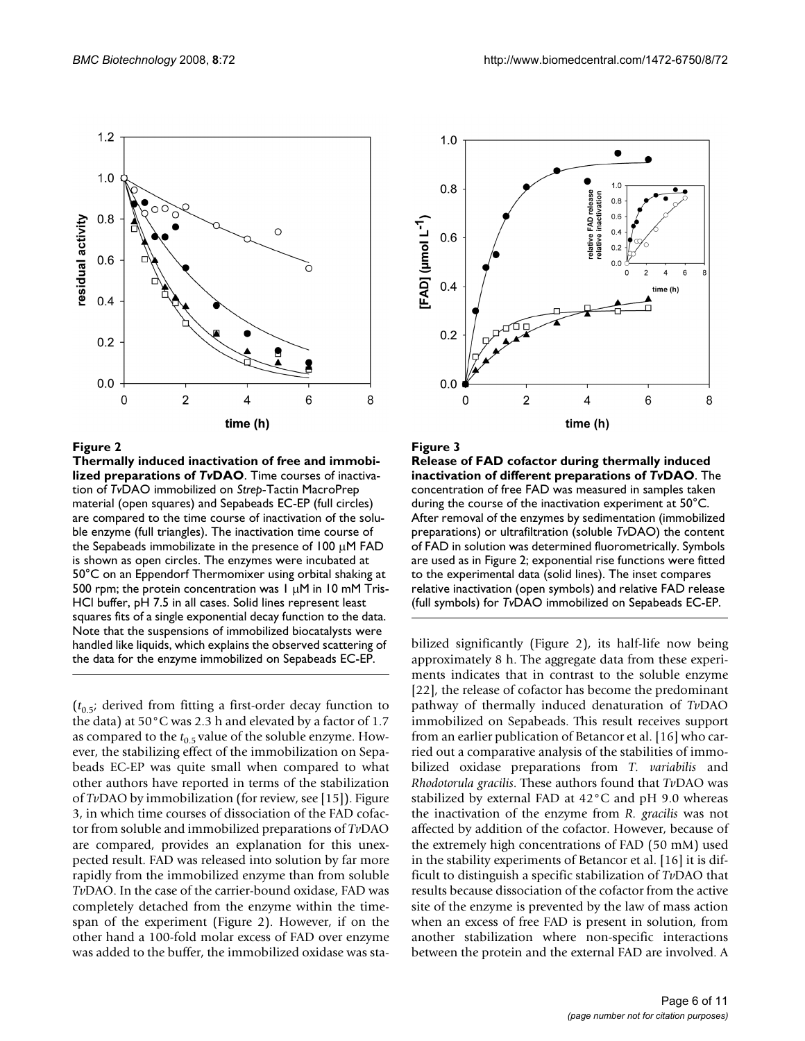

#### **Figure 2**

**Thermally induced inactivation of free and immobilized preparations of** *Tv***DAO**. Time courses of inactivation of *Tv*DAO immobilized on *Strep*-Tactin MacroPrep material (open squares) and Sepabeads EC-EP (full circles) are compared to the time course of inactivation of the soluble enzyme (full triangles). The inactivation time course of the Sepabeads immobilizate in the presence of  $100 \mu$ M FAD is shown as open circles. The enzymes were incubated at 50°C on an Eppendorf Thermomixer using orbital shaking at 500 rpm; the protein concentration was 1 μM in 10 mM Tris-HCl buffer, pH 7.5 in all cases. Solid lines represent least squares fits of a single exponential decay function to the data. Note that the suspensions of immobilized biocatalysts were handled like liquids, which explains the observed scattering of the data for the enzyme immobilized on Sepabeads EC-EP.

 $(t_0, t_5;$  derived from fitting a first-order decay function to the data) at 50°C was 2.3 h and elevated by a factor of 1.7 as compared to the  $t_{0.5}$  value of the soluble enzyme. However, the stabilizing effect of the immobilization on Sepabeads EC-EP was quite small when compared to what other authors have reported in terms of the stabilization of *Tv*DAO by immobilization (for review, see [15]). Figure 3, in which time courses of dissociation of the FAD cofactor from soluble and immobilized preparations of *Tv*DAO are compared, provides an explanation for this unexpected result. FAD was released into solution by far more rapidly from the immobilized enzyme than from soluble *Tv*DAO. In the case of the carrier-bound oxidase, FAD was completely detached from the enzyme within the timespan of the experiment (Figure 2). However, if on the other hand a 100-fold molar excess of FAD over enzyme was added to the buffer, the immobilized oxidase was sta-



Figure 3

**Release of FAD cofactor during thermally induced inactivation of different preparations of** *Tv***DAO**. The concentration of free FAD was measured in samples taken during the course of the inactivation experiment at 50°C. After removal of the enzymes by sedimentation (immobilized preparations) or ultrafiltration (soluble *Tv*DAO) the content of FAD in solution was determined fluorometrically. Symbols are used as in Figure 2; exponential rise functions were fitted to the experimental data (solid lines). The inset compares relative inactivation (open symbols) and relative FAD release (full symbols) for *Tv*DAO immobilized on Sepabeads EC-EP.

bilized significantly (Figure 2), its half-life now being approximately 8 h. The aggregate data from these experiments indicates that in contrast to the soluble enzyme [22], the release of cofactor has become the predominant pathway of thermally induced denaturation of *Tv*DAO immobilized on Sepabeads. This result receives support from an earlier publication of Betancor et al. [16] who carried out a comparative analysis of the stabilities of immobilized oxidase preparations from *T. variabilis* and *Rhodotorula gracilis*. These authors found that *Tv*DAO was stabilized by external FAD at 42°C and pH 9.0 whereas the inactivation of the enzyme from *R. gracilis* was not affected by addition of the cofactor. However, because of the extremely high concentrations of FAD (50 mM) used in the stability experiments of Betancor et al. [16] it is difficult to distinguish a specific stabilization of *Tv*DAO that results because dissociation of the cofactor from the active site of the enzyme is prevented by the law of mass action when an excess of free FAD is present in solution, from another stabilization where non-specific interactions between the protein and the external FAD are involved. A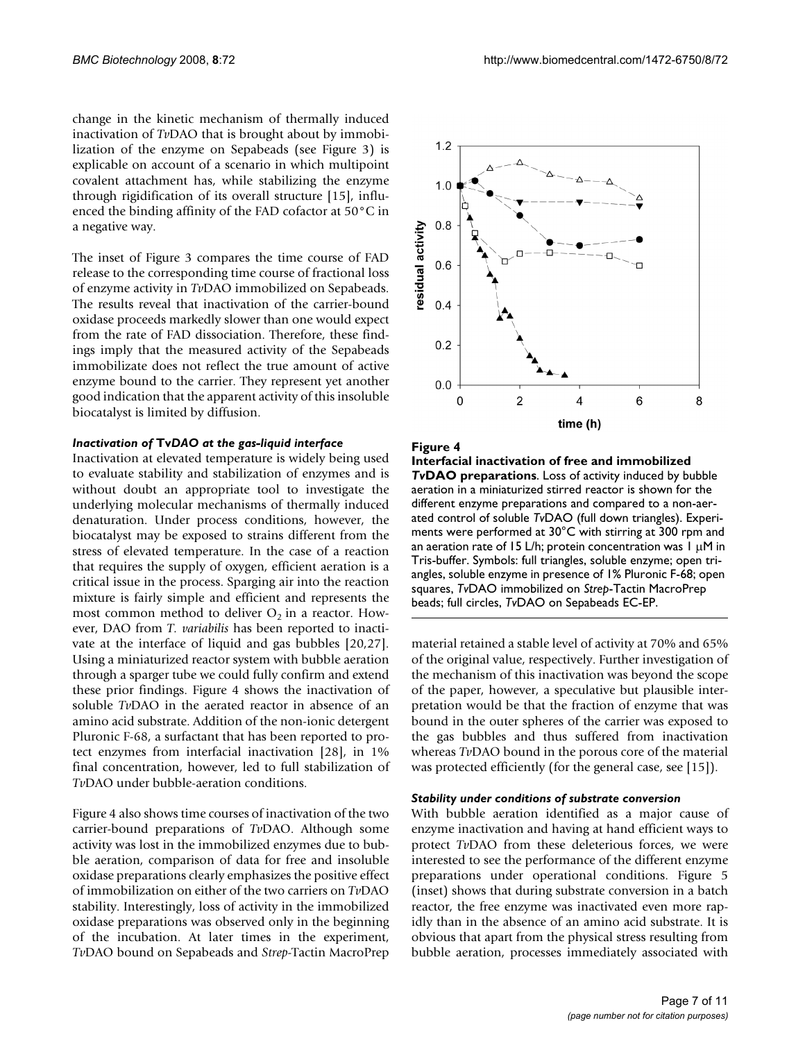change in the kinetic mechanism of thermally induced inactivation of *Tv*DAO that is brought about by immobilization of the enzyme on Sepabeads (see Figure 3) is explicable on account of a scenario in which multipoint covalent attachment has, while stabilizing the enzyme through rigidification of its overall structure [15], influenced the binding affinity of the FAD cofactor at 50°C in a negative way.

The inset of Figure 3 compares the time course of FAD release to the corresponding time course of fractional loss of enzyme activity in *Tv*DAO immobilized on Sepabeads. The results reveal that inactivation of the carrier-bound oxidase proceeds markedly slower than one would expect from the rate of FAD dissociation. Therefore, these findings imply that the measured activity of the Sepabeads immobilizate does not reflect the true amount of active enzyme bound to the carrier. They represent yet another good indication that the apparent activity of this insoluble biocatalyst is limited by diffusion.

#### *Inactivation of* **Tv***DAO at the gas-liquid interface*

Inactivation at elevated temperature is widely being used to evaluate stability and stabilization of enzymes and is without doubt an appropriate tool to investigate the underlying molecular mechanisms of thermally induced denaturation. Under process conditions, however, the biocatalyst may be exposed to strains different from the stress of elevated temperature. In the case of a reaction that requires the supply of oxygen, efficient aeration is a critical issue in the process. Sparging air into the reaction mixture is fairly simple and efficient and represents the most common method to deliver  $O_2$  in a reactor. However, DAO from *T. variabilis* has been reported to inactivate at the interface of liquid and gas bubbles [20,27]. Using a miniaturized reactor system with bubble aeration through a sparger tube we could fully confirm and extend these prior findings. Figure 4 shows the inactivation of soluble *Tv*DAO in the aerated reactor in absence of an amino acid substrate. Addition of the non-ionic detergent Pluronic F-68, a surfactant that has been reported to protect enzymes from interfacial inactivation [28], in 1% final concentration, however, led to full stabilization of *Tv*DAO under bubble-aeration conditions.

Figure 4 also shows time courses of inactivation of the two carrier-bound preparations of *Tv*DAO. Although some activity was lost in the immobilized enzymes due to bubble aeration, comparison of data for free and insoluble oxidase preparations clearly emphasizes the positive effect of immobilization on either of the two carriers on *Tv*DAO stability. Interestingly, loss of activity in the immobilized oxidase preparations was observed only in the beginning of the incubation. At later times in the experiment, *Tv*DAO bound on Sepabeads and *Strep*-Tactin MacroPrep



#### Figure 4

**Interfacial inactivation of free and immobilized**  *Tv***DAO preparations**. Loss of activity induced by bubble aeration in a miniaturized stirred reactor is shown for the different enzyme preparations and compared to a non-aerated control of soluble *Tv*DAO (full down triangles). Experiments were performed at 30°C with stirring at 300 rpm and an aeration rate of 15 L/h; protein concentration was  $1 \mu$ M in Tris-buffer. Symbols: full triangles, soluble enzyme; open triangles, soluble enzyme in presence of 1% Pluronic F-68; open squares, *Tv*DAO immobilized on *Strep*-Tactin MacroPrep beads; full circles, *Tv*DAO on Sepabeads EC-EP.

material retained a stable level of activity at 70% and 65% of the original value, respectively. Further investigation of the mechanism of this inactivation was beyond the scope of the paper, however, a speculative but plausible interpretation would be that the fraction of enzyme that was bound in the outer spheres of the carrier was exposed to the gas bubbles and thus suffered from inactivation whereas *Tv*DAO bound in the porous core of the material was protected efficiently (for the general case, see [15]).

#### *Stability under conditions of substrate conversion*

With bubble aeration identified as a major cause of enzyme inactivation and having at hand efficient ways to protect *Tv*DAO from these deleterious forces, we were interested to see the performance of the different enzyme preparations under operational conditions. Figure 5 (inset) shows that during substrate conversion in a batch reactor, the free enzyme was inactivated even more rapidly than in the absence of an amino acid substrate. It is obvious that apart from the physical stress resulting from bubble aeration, processes immediately associated with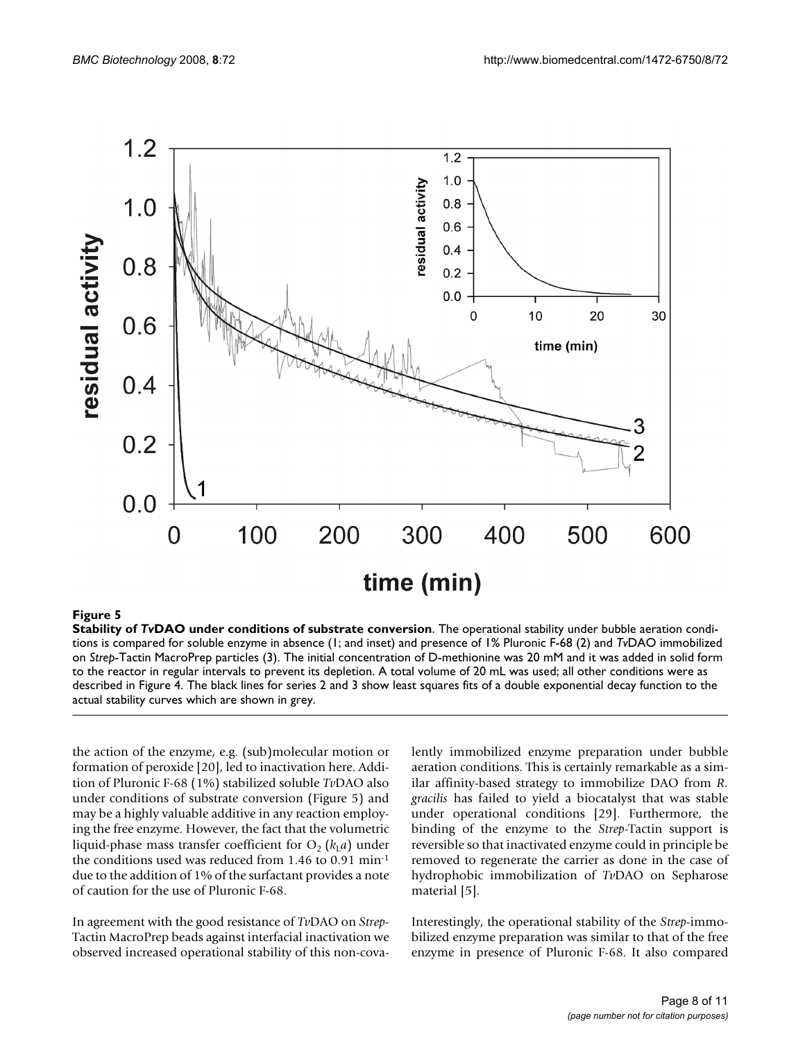

## **Figure 5**

**Stability of** *Tv***DAO under conditions of substrate conversion**. The operational stability under bubble aeration conditions is compared for soluble enzyme in absence (1; and inset) and presence of 1% Pluronic F-68 (2) and *Tv*DAO immobilized on *Strep*-Tactin MacroPrep particles (3). The initial concentration of D-methionine was 20 mM and it was added in solid form to the reactor in regular intervals to prevent its depletion. A total volume of 20 mL was used; all other conditions were as described in Figure 4. The black lines for series 2 and 3 show least squares fits of a double exponential decay function to the actual stability curves which are shown in grey.

the action of the enzyme, e.g. (sub)molecular motion or formation of peroxide [20], led to inactivation here. Addition of Pluronic F-68 (1%) stabilized soluble *Tv*DAO also under conditions of substrate conversion (Figure 5) and may be a highly valuable additive in any reaction employing the free enzyme. However, the fact that the volumetric liquid-phase mass transfer coefficient for  $O_2$  ( $k_1a$ ) under the conditions used was reduced from 1.46 to 0.91 min-1 due to the addition of 1% of the surfactant provides a note of caution for the use of Pluronic F-68.

In agreement with the good resistance of *Tv*DAO on *Strep*-Tactin MacroPrep beads against interfacial inactivation we observed increased operational stability of this non-covalently immobilized enzyme preparation under bubble aeration conditions. This is certainly remarkable as a similar affinity-based strategy to immobilize DAO from *R. gracilis* has failed to yield a biocatalyst that was stable under operational conditions [29]. Furthermore, the binding of the enzyme to the *Strep*-Tactin support is reversible so that inactivated enzyme could in principle be removed to regenerate the carrier as done in the case of hydrophobic immobilization of *Tv*DAO on Sepharose material [5].

Interestingly, the operational stability of the *Strep*-immobilized enzyme preparation was similar to that of the free enzyme in presence of Pluronic F-68. It also compared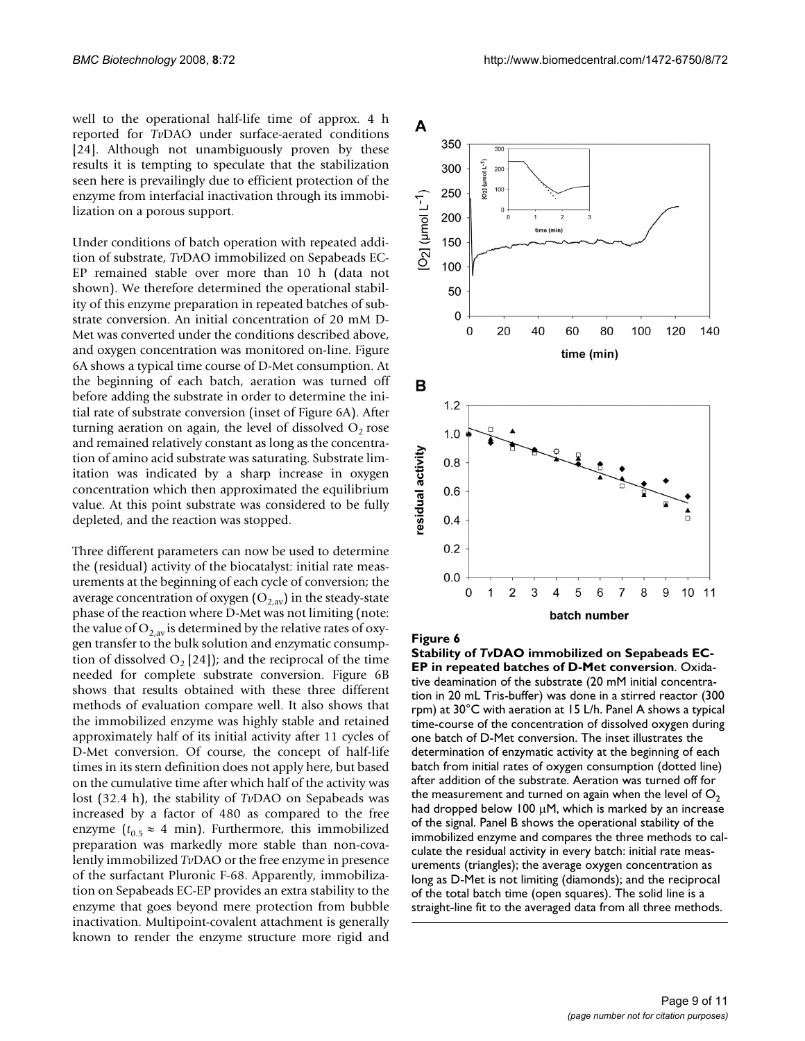well to the operational half-life time of approx. 4 h reported for *Tv*DAO under surface-aerated conditions [24]. Although not unambiguously proven by these results it is tempting to speculate that the stabilization seen here is prevailingly due to efficient protection of the enzyme from interfacial inactivation through its immobilization on a porous support.

Under conditions of batch operation with repeated addition of substrate, *Tv*DAO immobilized on Sepabeads EC-EP remained stable over more than 10 h (data not shown). We therefore determined the operational stability of this enzyme preparation in repeated batches of substrate conversion. An initial concentration of 20 mM D-Met was converted under the conditions described above, and oxygen concentration was monitored on-line. Figure 6A shows a typical time course of D-Met consumption. At the beginning of each batch, aeration was turned off before adding the substrate in order to determine the initial rate of substrate conversion (inset of Figure 6A). After turning aeration on again, the level of dissolved  $O_2$  rose and remained relatively constant as long as the concentration of amino acid substrate was saturating. Substrate limitation was indicated by a sharp increase in oxygen concentration which then approximated the equilibrium value. At this point substrate was considered to be fully depleted, and the reaction was stopped.

Three different parameters can now be used to determine the (residual) activity of the biocatalyst: initial rate measurements at the beginning of each cycle of conversion; the average concentration of oxygen  $(O_{2,av})$  in the steady-state phase of the reaction where D-Met was not limiting (note: the value of  $O_{2,av}$  is determined by the relative rates of oxygen transfer to the bulk solution and enzymatic consumption of dissolved  $O_2$  [24]); and the reciprocal of the time needed for complete substrate conversion. Figure 6B shows that results obtained with these three different methods of evaluation compare well. It also shows that the immobilized enzyme was highly stable and retained approximately half of its initial activity after 11 cycles of D-Met conversion. Of course, the concept of half-life times in its stern definition does not apply here, but based on the cumulative time after which half of the activity was lost (32.4 h), the stability of *Tv*DAO on Sepabeads was increased by a factor of 480 as compared to the free enzyme ( $t_{0.5} \approx 4$  min). Furthermore, this immobilized preparation was markedly more stable than non-covalently immobilized *Tv*DAO or the free enzyme in presence of the surfactant Pluronic F-68. Apparently, immobilization on Sepabeads EC-EP provides an extra stability to the enzyme that goes beyond mere protection from bubble inactivation. Multipoint-covalent attachment is generally known to render the enzyme structure more rigid and



#### Figure 6

**Stability of** *Tv***DAO immobilized on Sepabeads EC-EP in repeated batches of D-Met conversion**. Oxidative deamination of the substrate (20 mM initial concentration in 20 mL Tris-buffer) was done in a stirred reactor (300 rpm) at 30°C with aeration at 15 L/h. Panel A shows a typical time-course of the concentration of dissolved oxygen during one batch of D-Met conversion. The inset illustrates the determination of enzymatic activity at the beginning of each batch from initial rates of oxygen consumption (dotted line) after addition of the substrate. Aeration was turned off for the measurement and turned on again when the level of  $O<sub>2</sub>$ had dropped below 100 μM, which is marked by an increase of the signal. Panel B shows the operational stability of the immobilized enzyme and compares the three methods to calculate the residual activity in every batch: initial rate measurements (triangles); the average oxygen concentration as long as D-Met is not limiting (diamonds); and the reciprocal of the total batch time (open squares). The solid line is a straight-line fit to the averaged data from all three methods.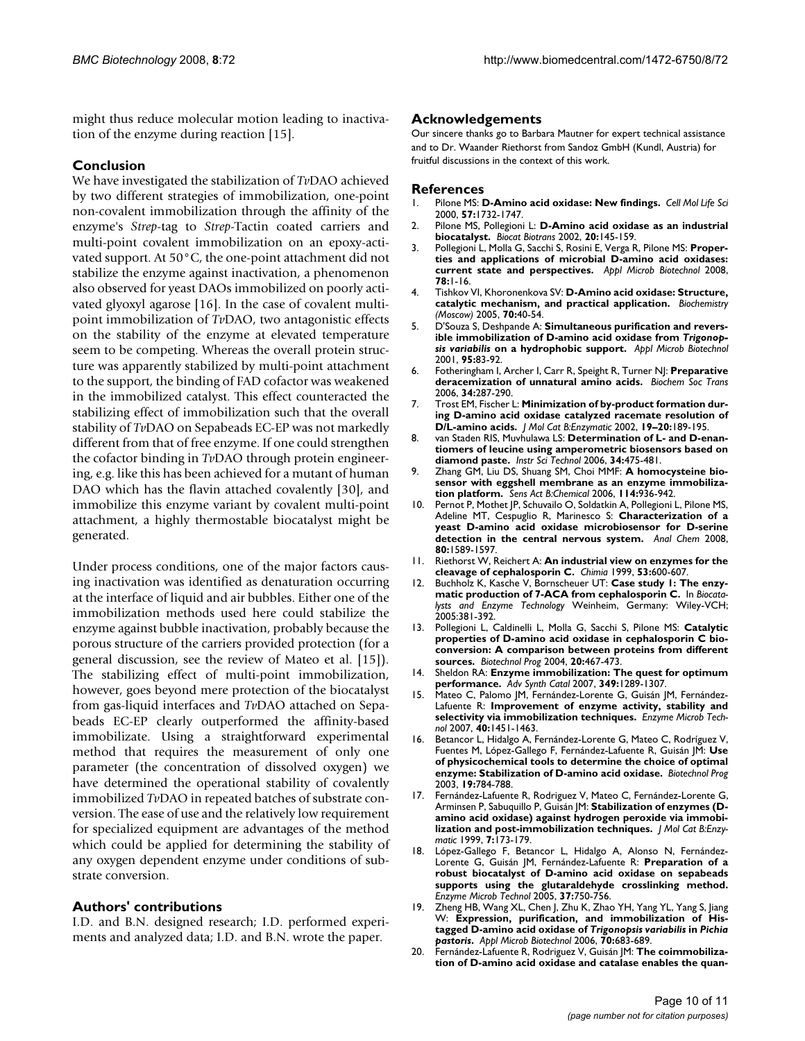might thus reduce molecular motion leading to inactivation of the enzyme during reaction [15].

## **Conclusion**

We have investigated the stabilization of *Tv*DAO achieved by two different strategies of immobilization, one-point non-covalent immobilization through the affinity of the enzyme's *Strep*-tag to *Strep*-Tactin coated carriers and multi-point covalent immobilization on an epoxy-activated support. At 50°C, the one-point attachment did not stabilize the enzyme against inactivation, a phenomenon also observed for yeast DAOs immobilized on poorly activated glyoxyl agarose [16]. In the case of covalent multipoint immobilization of *Tv*DAO, two antagonistic effects on the stability of the enzyme at elevated temperature seem to be competing. Whereas the overall protein structure was apparently stabilized by multi-point attachment to the support, the binding of FAD cofactor was weakened in the immobilized catalyst. This effect counteracted the stabilizing effect of immobilization such that the overall stability of *Tv*DAO on Sepabeads EC-EP was not markedly different from that of free enzyme. If one could strengthen the cofactor binding in *Tv*DAO through protein engineering, e.g. like this has been achieved for a mutant of human DAO which has the flavin attached covalently [30], and immobilize this enzyme variant by covalent multi-point attachment, a highly thermostable biocatalyst might be generated.

Under process conditions, one of the major factors causing inactivation was identified as denaturation occurring at the interface of liquid and air bubbles. Either one of the immobilization methods used here could stabilize the enzyme against bubble inactivation, probably because the porous structure of the carriers provided protection (for a general discussion, see the review of Mateo et al. [15]). The stabilizing effect of multi-point immobilization, however, goes beyond mere protection of the biocatalyst from gas-liquid interfaces and *Tv*DAO attached on Sepabeads EC-EP clearly outperformed the affinity-based immobilizate. Using a straightforward experimental method that requires the measurement of only one parameter (the concentration of dissolved oxygen) we have determined the operational stability of covalently immobilized *Tv*DAO in repeated batches of substrate conversion. The ease of use and the relatively low requirement for specialized equipment are advantages of the method which could be applied for determining the stability of any oxygen dependent enzyme under conditions of substrate conversion.

## **Authors' contributions**

I.D. and B.N. designed research; I.D. performed experiments and analyzed data; I.D. and B.N. wrote the paper.

## **Acknowledgements**

Our sincere thanks go to Barbara Mautner for expert technical assistance and to Dr. Waander Riethorst from Sandoz GmbH (Kundl, Austria) for fruitful discussions in the context of this work.

#### **References**

- 1. Pilone MS: **[D-Amino acid oxidase: New findings.](http://www.ncbi.nlm.nih.gov/entrez/query.fcgi?cmd=Retrieve&db=PubMed&dopt=Abstract&list_uids=11130179)** *Cell Mol Life Sci* 2000, **57:**1732-1747.
- 2. Pilone MS, Pollegioni L: **D-Amino acid oxidase as an industrial biocatalyst.** *Biocat Biotrans* 2002, **20:**145-159.
- 3. Pollegioni L, Molla G, Sacchi S, Rosini E, Verga R, Pilone MS: **[Proper](http://www.ncbi.nlm.nih.gov/entrez/query.fcgi?cmd=Retrieve&db=PubMed&dopt=Abstract&list_uids=18084756)[ties and applications of microbial D-amino acid oxidases:](http://www.ncbi.nlm.nih.gov/entrez/query.fcgi?cmd=Retrieve&db=PubMed&dopt=Abstract&list_uids=18084756) [current state and perspectives.](http://www.ncbi.nlm.nih.gov/entrez/query.fcgi?cmd=Retrieve&db=PubMed&dopt=Abstract&list_uids=18084756)** *Appl Microb Biotechnol* 2008, **78:**1-16.
- 4. Tishkov VI, Khoronenkova SV: **D-Amino acid oxidase: Structure, catalytic mechanism, and practical application.** *Biochemistry (Moscow)* 2005, **70:**40-54.
- 5. D'Souza S, Deshpande A: **Simultaneous purification and reversible immobilization of D-amino acid oxidase from** *Trigonopsis variabilis* **on a hydrophobic support.** *Appl Microb Biotechnol* 2001, **95:**83-92.
- 6. Fotheringham I, Archer I, Carr R, Speight R, Turner NJ: **[Preparative](http://www.ncbi.nlm.nih.gov/entrez/query.fcgi?cmd=Retrieve&db=PubMed&dopt=Abstract&list_uids=16545096) [deracemization of unnatural amino acids.](http://www.ncbi.nlm.nih.gov/entrez/query.fcgi?cmd=Retrieve&db=PubMed&dopt=Abstract&list_uids=16545096)** *Biochem Soc Trans* 2006, **34:**287-290.
- 7. Trost EM, Fischer L: **Minimization of by-product formation during D-amino acid oxidase catalyzed racemate resolution of D/L-amino acids.** *J Mol Cat B:Enzymatic* 2002, **19–20:**189-195.
- 8. van Staden RIS, Muvhulawa LS: **Determination of L- and D-enantiomers of leucine using amperometric biosensors based on diamond paste.** *Instr Sci Technol* 2006, **34:**475-481.
- 9. Zhang GM, Liu DS, Shuang SM, Choi MMF: **A homocysteine biosensor with eggshell membrane as an enzyme immobilization platform.** *Sens Act B:Chemical* 2006, **114:**936-942.
- 10. Pernot P, Mothet JP, Schuvailo O, Soldatkin A, Pollegioni L, Pilone MS, Adeline MT, Cespuglio R, Marinesco S: **[Characterization of a](http://www.ncbi.nlm.nih.gov/entrez/query.fcgi?cmd=Retrieve&db=PubMed&dopt=Abstract&list_uids=18229946) [yeast D-amino acid oxidase microbiosensor for D-serine](http://www.ncbi.nlm.nih.gov/entrez/query.fcgi?cmd=Retrieve&db=PubMed&dopt=Abstract&list_uids=18229946) [detection in the central nervous system.](http://www.ncbi.nlm.nih.gov/entrez/query.fcgi?cmd=Retrieve&db=PubMed&dopt=Abstract&list_uids=18229946)** *Anal Chem* 2008, **80:**1589-1597.
- 11. Riethorst W, Reichert A: **An industrial view on enzymes for the cleavage of cephalosporin C.** *Chimia* 1999, **53:**600-607.
- 12. Buchholz K, Kasche V, Bornscheuer UT: **Case study 1: The enzymatic production of 7-ACA from cephalosporin C.** In *Biocatalysts and Enzyme Technology* Weinheim, Germany: Wiley-VCH; 2005:381-392.
- 13. Pollegioni L, Caldinelli L, Molla G, Sacchi S, Pilone MS: **[Catalytic](http://www.ncbi.nlm.nih.gov/entrez/query.fcgi?cmd=Retrieve&db=PubMed&dopt=Abstract&list_uids=15058991) [properties of D-amino acid oxidase in cephalosporin C bio](http://www.ncbi.nlm.nih.gov/entrez/query.fcgi?cmd=Retrieve&db=PubMed&dopt=Abstract&list_uids=15058991)conversion: A comparison between proteins from different [sources.](http://www.ncbi.nlm.nih.gov/entrez/query.fcgi?cmd=Retrieve&db=PubMed&dopt=Abstract&list_uids=15058991)** *Biotechnol Prog* 2004, **20:**467-473.
- 14. Sheldon RA: **Enzyme immobilization: The quest for optimum performance.** *Adv Synth Catal* 2007, **349:**1289-1307.
- 15. Mateo C, Palomo JM, Fernández-Lorente G, Guisán JM, Fernández-Lafuente R: **Improvement of enzyme activity, stability and selectivity via immobilization techniques.** *Enzyme Microb Technol* 2007, **40:**1451-1463.
- 16. Betancor L, Hidalgo A, Fernández-Lorente G, Mateo C, Rodríguez V, Fuentes M, López-Gallego F, Fernández-Lafuente R, Guisán JM: **[Use](http://www.ncbi.nlm.nih.gov/entrez/query.fcgi?cmd=Retrieve&db=PubMed&dopt=Abstract&list_uids=12790639) [of physicochemical tools to determine the choice of optimal](http://www.ncbi.nlm.nih.gov/entrez/query.fcgi?cmd=Retrieve&db=PubMed&dopt=Abstract&list_uids=12790639) [enzyme: Stabilization of D-amino acid oxidase.](http://www.ncbi.nlm.nih.gov/entrez/query.fcgi?cmd=Retrieve&db=PubMed&dopt=Abstract&list_uids=12790639)** *Biotechnol Prog* 2003, **19:**784-788.
- 17. Fernández-Lafuente R, Rodriguez V, Mateo C, Fernández-Lorente G, Arminsen P, Sabuquillo P, Guisán JM: **Stabilization of enzymes (Damino acid oxidase) against hydrogen peroxide via immobilization and post-immobilization techniques.** *J Mol Cat B:Enzymatic* 1999, **7:**173-179.
- 18. López-Gallego F, Betancor L, Hidalgo A, Alonso N, Fernández-Lorente G, Guisán JM, Fernández-Lafuente R: **Preparation of a robust biocatalyst of D-amino acid oxidase on sepabeads supports using the glutaraldehyde crosslinking method.** *Enzyme Microb Technol* 2005, **37:**750-756.
- 19. Zheng HB, Wang XL, Chen J, Zhu K, Zhao YH, Yang YL, Yang S, Jiang W: **Expression, purification, and immobilization of Histagged D-amino acid oxidase of** *Trigonopsis variabilis* **in** *Pichia pastoris***.** *Appl Microb Biotechnol* 2006, **70:**683-689.
- 20. Fernández-Lafuente R, Rodriguez V, Guisán JM: **The coimmobilization of D-amino acid oxidase and catalase enables the quan-**